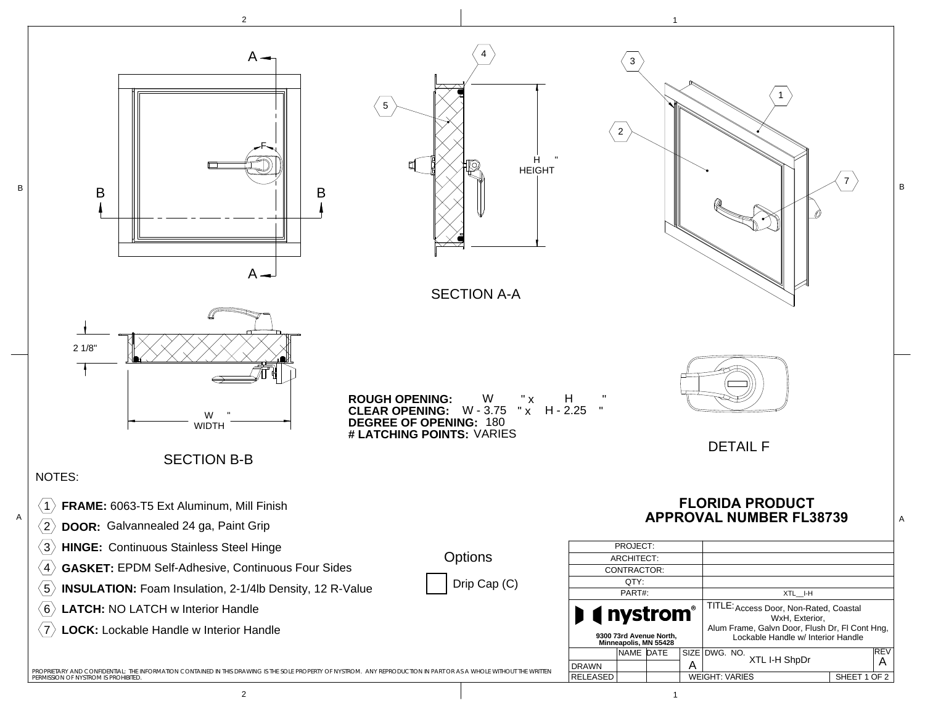

2

 $1$